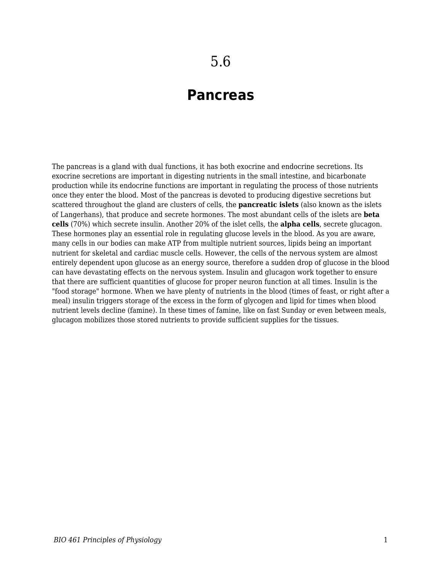## **Pancreas**

The pancreas is a gland with dual functions, it has both exocrine and endocrine secretions. Its exocrine secretions are important in digesting nutrients in the small intestine, and bicarbonate production while its endocrine functions are important in regulating the process of those nutrients once they enter the blood. Most of the pancreas is devoted to producing digestive secretions but scattered throughout the gland are clusters of cells, the **pancreatic islets** (also known as the islets of Langerhans), that produce and secrete hormones. The most abundant cells of the islets are **beta cells** (70%) which secrete insulin. Another 20% of the islet cells, the **alpha cells**, secrete glucagon. These hormones play an essential role in regulating glucose levels in the blood. As you are aware, many cells in our bodies can make ATP from multiple nutrient sources, lipids being an important nutrient for skeletal and cardiac muscle cells. However, the cells of the nervous system are almost entirely dependent upon glucose as an energy source, therefore a sudden drop of glucose in the blood can have devastating effects on the nervous system. Insulin and glucagon work together to ensure that there are sufficient quantities of glucose for proper neuron function at all times. Insulin is the "food storage" hormone. When we have plenty of nutrients in the blood (times of feast, or right after a meal) insulin triggers storage of the excess in the form of glycogen and lipid for times when blood nutrient levels decline (famine). In these times of famine, like on fast Sunday or even between meals, glucagon mobilizes those stored nutrients to provide sufficient supplies for the tissues.